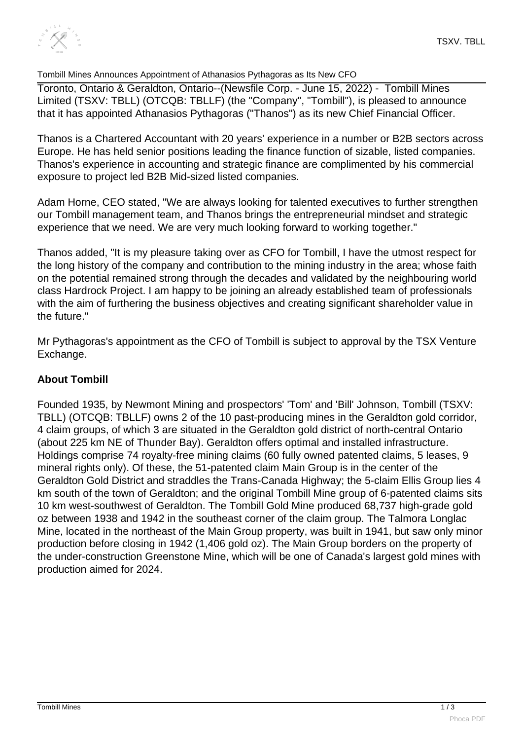

## Tombill Mines Announces Appointment of Athanasios Pythagoras as Its New CFO

Toronto, Ontario & Geraldton, Ontario--(Newsfile Corp. - June 15, 2022) - Tombill Mines Limited (TSXV: TBLL) (OTCQB: TBLLF) (the "Company", "Tombill"), is pleased to announce that it has appointed Athanasios Pythagoras ("Thanos") as its new Chief Financial Officer.

Thanos is a Chartered Accountant with 20 years' experience in a number or B2B sectors across Europe. He has held senior positions leading the finance function of sizable, listed companies. Thanos's experience in accounting and strategic finance are complimented by his commercial exposure to project led B2B Mid-sized listed companies.

Adam Horne, CEO stated, "We are always looking for talented executives to further strengthen our Tombill management team, and Thanos brings the entrepreneurial mindset and strategic experience that we need. We are very much looking forward to working together."

Thanos added, "It is my pleasure taking over as CFO for Tombill, I have the utmost respect for the long history of the company and contribution to the mining industry in the area; whose faith on the potential remained strong through the decades and validated by the neighbouring world class Hardrock Project. I am happy to be joining an already established team of professionals with the aim of furthering the business objectives and creating significant shareholder value in the future."

Mr Pythagoras's appointment as the CFO of Tombill is subject to approval by the TSX Venture Exchange.

## **About Tombill**

Founded 1935, by Newmont Mining and prospectors' 'Tom' and 'Bill' Johnson, Tombill (TSXV: TBLL) (OTCQB: TBLLF) owns 2 of the 10 past-producing mines in the Geraldton gold corridor, 4 claim groups, of which 3 are situated in the Geraldton gold district of north-central Ontario (about 225 km NE of Thunder Bay). Geraldton offers optimal and installed infrastructure. Holdings comprise 74 royalty-free mining claims (60 fully owned patented claims, 5 leases, 9 mineral rights only). Of these, the 51-patented claim Main Group is in the center of the Geraldton Gold District and straddles the Trans-Canada Highway; the 5-claim Ellis Group lies 4 km south of the town of Geraldton; and the original Tombill Mine group of 6-patented claims sits 10 km west-southwest of Geraldton. The Tombill Gold Mine produced 68,737 high-grade gold oz between 1938 and 1942 in the southeast corner of the claim group. The Talmora Longlac Mine, located in the northeast of the Main Group property, was built in 1941, but saw only minor production before closing in 1942 (1,406 gold oz). The Main Group borders on the property of the under-construction Greenstone Mine, which will be one of Canada's largest gold mines with production aimed for 2024.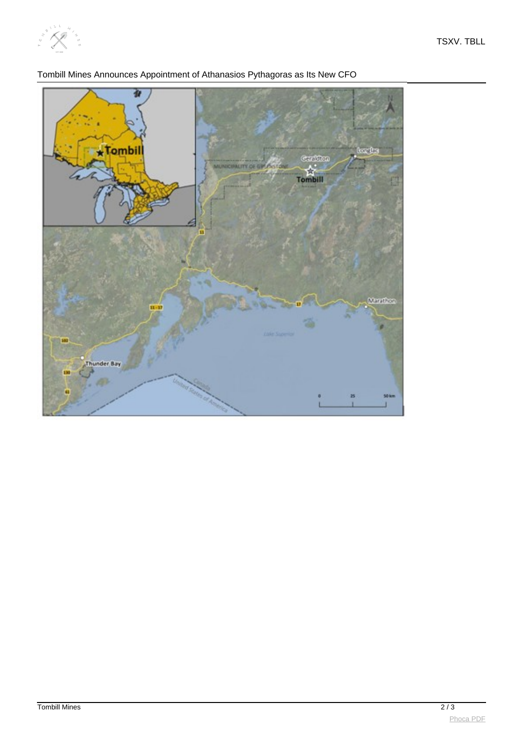



Tombill Mines Announces Appointment of Athanasios Pythagoras as Its New CFO